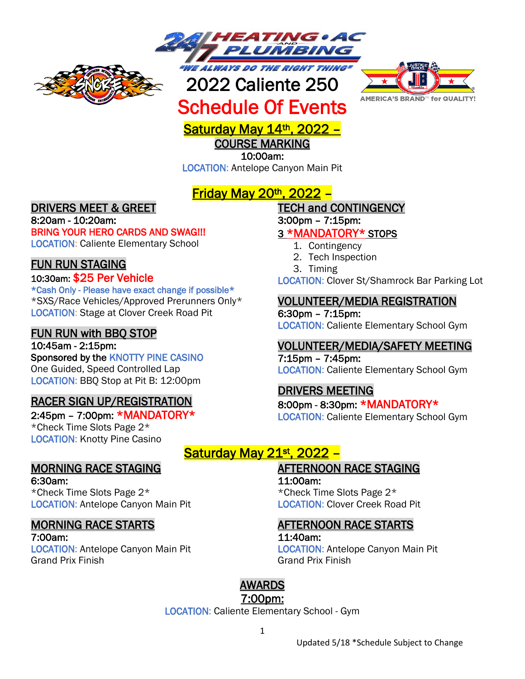



# 2022 Caliente 250 Schedule Of Events



# Saturday May 14<sup>th</sup>, 2022 -

COURSE MARKING

10:00am:

LOCATION: Antelope Canyon Main Pit

# Friday May 20th, 2022 –

### DRIVERS MEET & GREET

8:20am - 10:20am: BRING YOUR HERO CARDS AND SWAG!!! LOCATION: Caliente Elementary School

### FUN RUN STAGING

#### 10:30am: \$25 Per Vehicle

\*Cash Only - Please have exact change if possible\* \*SXS/Race Vehicles/Approved Prerunners Only\* LOCATION: Stage at Clover Creek Road Pit

#### FUN RUN with BBQ STOP

10:45am - 2:15pm: Sponsored by the KNOTTY PINE CASINO One Guided, Speed Controlled Lap LOCATION: BBQ Stop at Pit B: 12:00pm

### RACER SIGN UP/REGISTRATION

2:45pm – 7:00pm: \*MANDATORY\* \*Check Time Slots Page 2\* LOCATION: Knotty Pine Casino

## MORNING RACE STAGING

6:30am: \*Check Time Slots Page 2\* LOCATION: Antelope Canyon Main Pit

### MORNING RACE STARTS

7:00am: LOCATION: Antelope Canyon Main Pit Grand Prix Finish

## TECH and CONTINGENCY

3:00pm – 7:15pm:

#### 3 \*MANDATORY\* STOPS

- 1. Contingency
- 2. Tech Inspection
- 3. Timing

LOCATION: Clover St/Shamrock Bar Parking Lot

#### VOLUNTEER/MEDIA REGISTRATION

6:30pm – 7:15pm: LOCATION: Caliente Elementary School Gym

#### VOLUNTEER/MEDIA/SAFETY MEETING

7:15pm – 7:45pm: LOCATION: Caliente Elementary School Gym

### DRIVERS MEETING

8:00pm - 8:30pm: \*MANDATORY\* LOCATION: Caliente Elementary School Gym

## Saturday May 21st, 2022 -

AFTERNOON RACE STAGING

11:00am: \*Check Time Slots Page 2\* LOCATION: Clover Creek Road Pit

### AFTERNOON RACE STARTS

#### 11:40am:

LOCATION: Antelope Canyon Main Pit Grand Prix Finish

## AWARDS

#### 7:00pm:

LOCATION: Caliente Elementary School - Gym